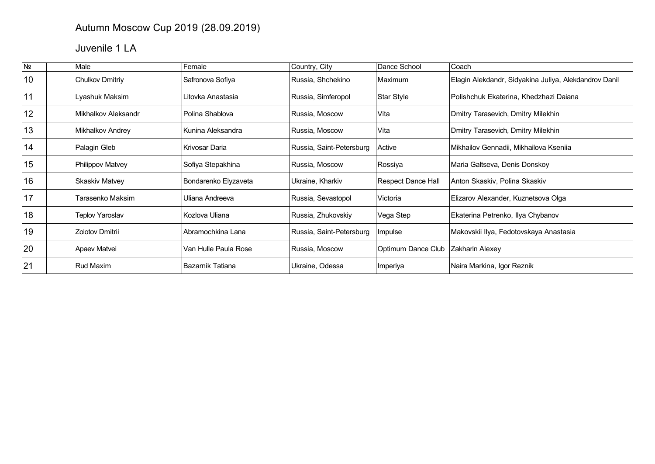## Autumn Moscow Cup 2019 (28.09.2019)

## Juvenile 1 LA

| N <sub>2</sub> | Male                  | Female               | Country, City            | Dance School              | Coach                                                 |
|----------------|-----------------------|----------------------|--------------------------|---------------------------|-------------------------------------------------------|
| 10             | Chulkov Dmitriy       | Safronova Sofiya     | Russia, Shchekino        | Maximum                   | Elagin Alekdandr, Sidyakina Juliya, Alekdandrov Danil |
| 11             | Lyashuk Maksim        | Litovka Anastasia    | Russia, Simferopol       | Star Style                | Polishchuk Ekaterina, Khedzhazi Daiana                |
| 12             | Mikhalkov Aleksandr   | Polina Shablova      | Russia, Moscow           | Vita                      | Dmitry Tarasevich, Dmitry Milekhin                    |
| 13             | Mikhalkov Andrey      | Kunina Aleksandra    | Russia, Moscow           | Vita                      | Dmitry Tarasevich, Dmitry Milekhin                    |
| 14             | Palagin Gleb          | Krivosar Daria       | Russia, Saint-Petersburg | Active                    | Mikhailov Gennadii, Mikhailova Kseniia                |
| 15             | Philippov Matvey      | Sofiya Stepakhina    | Russia, Moscow           | Rossiya                   | Maria Galtseva, Denis Donskoy                         |
| 16             | <b>Skaskiv Matvey</b> | Bondarenko Elyzaveta | Ukraine, Kharkiv         | <b>Respect Dance Hall</b> | Anton Skaskiv, Polina Skaskiv                         |
| 17             | Tarasenko Maksim      | Uliana Andreeva      | Russia, Sevastopol       | Victoria                  | Elizarov Alexander, Kuznetsova Olga                   |
| 18             | Teplov Yaroslav       | Kozlova Uliana       | Russia, Zhukovskiy       | Vega Step                 | Ekaterina Petrenko, Ilya Chybanov                     |
| 19             | Zolotov Dmitrii       | Abramochkina Lana    | Russia, Saint-Petersburg | Impulse                   | Makovskii Ilya, Fedotovskaya Anastasia                |
| 20             | Apaev Matvei          | Van Hulle Paula Rose | Russia, Moscow           | Optimum Dance Club        | Zakharin Alexey                                       |
| 21             | Rud Maxim             | ∣Bazarnik Tatiana    | Ukraine, Odessa          | Imperiya                  | Naira Markina, Igor Reznik                            |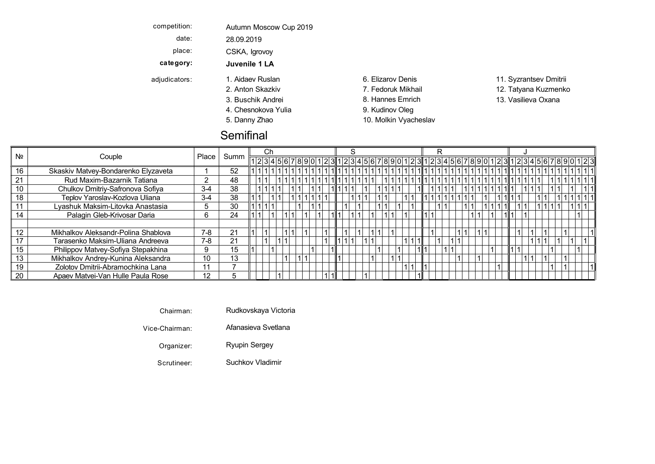| competition:  | Autumn Moscow Cup 2019 |                       |                        |
|---------------|------------------------|-----------------------|------------------------|
| date:         | 28.09.2019             |                       |                        |
| place:        | CSKA, Igrovoy          |                       |                        |
| category:     | Juvenile 1 LA          |                       |                        |
| adjudicators: | 1. Aidaev Ruslan       | 6. Elizarov Denis     | 11. Syzrantsev Dmitrii |
|               | 2. Anton Skazkiv       | 7. Fedoruk Mikhail    | 12. Tatyana Kuzmenko   |
|               | 3. Buschik Andrei      | 8. Hannes Emrich      | 13. Vasilieva Oxana    |
|               | 4. Chesnokova Yulia    | 9. Kudinov Oleg       |                        |
|               | 5. Danny Zhao          | 10. Molkin Vyacheslav |                        |
|               | Semifinal              |                       |                        |

- 7. Fedoruk Mikhail 12. Tatyana Kuzmenko 8. Hannes Emrich 13. Vasilieva Oxana 9. Kudinov Oleg 10. Molkin Vyacheslav
	-
	-
	-

| Nº |                                     | Place | Summ |  | ∪C |  |  |  |  |  |  |  |  |  |  |  |  |  |  |  |  |
|----|-------------------------------------|-------|------|--|----|--|--|--|--|--|--|--|--|--|--|--|--|--|--|--|--|
|    | Couple                              |       |      |  |    |  |  |  |  |  |  |  |  |  |  |  |  |  |  |  |  |
| 16 | Skaskiv Matvey-Bondarenko Elyzaveta |       | 52   |  |    |  |  |  |  |  |  |  |  |  |  |  |  |  |  |  |  |
| 21 | Rud Maxim-Bazarnik Tatiana          | ി     | 48   |  |    |  |  |  |  |  |  |  |  |  |  |  |  |  |  |  |  |
|    | Chulkov Dmitriy-Safronova Sofiya    | $3-4$ | 38   |  |    |  |  |  |  |  |  |  |  |  |  |  |  |  |  |  |  |
|    | Teplov Yaroslav-Kozlova Uliana      | $3-4$ | 38   |  |    |  |  |  |  |  |  |  |  |  |  |  |  |  |  |  |  |
|    | Lyashuk Maksim-Litovka Anastasia    | h     | 30   |  |    |  |  |  |  |  |  |  |  |  |  |  |  |  |  |  |  |
|    | Palagin Gleb-Krivosar Daria         | 6     | 24   |  |    |  |  |  |  |  |  |  |  |  |  |  |  |  |  |  |  |
|    |                                     |       |      |  |    |  |  |  |  |  |  |  |  |  |  |  |  |  |  |  |  |
|    | Mikhalkov Aleksandr-Polina Shablova | $7-8$ | 21   |  |    |  |  |  |  |  |  |  |  |  |  |  |  |  |  |  |  |
|    | Tarasenko Maksim-Uliana Andreeva    | $7-8$ | 21   |  |    |  |  |  |  |  |  |  |  |  |  |  |  |  |  |  |  |
| 15 | Philippov Matvey-Sofiya Stepakhina  | 9     | 15   |  |    |  |  |  |  |  |  |  |  |  |  |  |  |  |  |  |  |
|    | Mikhalkov Andrey-Kunina Aleksandra  | 10    | 13   |  |    |  |  |  |  |  |  |  |  |  |  |  |  |  |  |  |  |
| 19 | Zolotov Dmitrii-Abramochkina Lana   |       |      |  |    |  |  |  |  |  |  |  |  |  |  |  |  |  |  |  |  |
| 20 | Apaev Matvei-Van Hulle Paula Rose   | 12    |      |  |    |  |  |  |  |  |  |  |  |  |  |  |  |  |  |  |  |

Chairman: Rudkovskaya Victoria

Vice-Chairman: Afanasieva Svetlana

Organizer: Ryupin Sergey Danny Molecules of Danny Molecules and Danmy Molecules of Australian Quickstep Q Zhao V

Scrutineer: Suchkov Vladimir